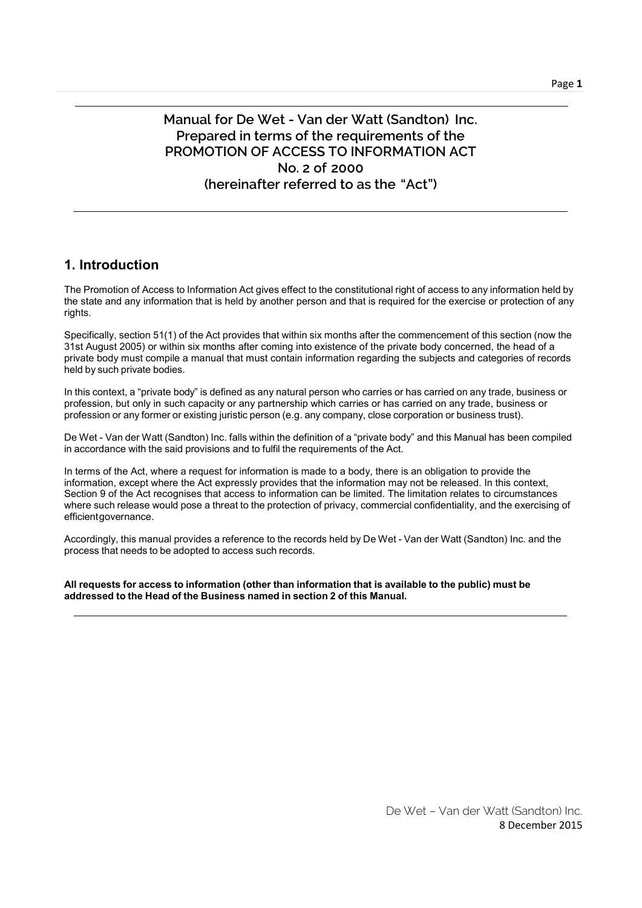# Manual for De Wet - Van der Watt (Sandton) Inc. Prepared in terms of the requirements of the PROMOTION OF ACCESS TO INFORMATION ACT No. 2 of 2000 (hereinafter referred to as the "Act")

## 1. Introduction

The Promotion of Access to Information Act gives effect to the constitutional right of access to any information held by the state and any information that is held by another person and that is required for the exercise or protection of any rights.

Specifically, section 51(1) of the Act provides that within six months after the commencement of this section (now the 31st August 2005) or within six months after coming into existence of the private body concerned, the head of a private body must compile a manual that must contain information regarding the subjects and categories of records held by such private bodies.

In this context, a "private body" is defined as any natural person who carries or has carried on any trade, business or profession, but only in such capacity or any partnership which carries or has carried on any trade, business or profession or any former or existing juristic person (e.g. any company, close corporation or business trust).

De Wet - Van der Watt (Sandton) Inc. falls within the definition of a "private body" and this Manual has been compiled in accordance with the said provisions and to fulfil the requirements of the Act.

In terms of the Act, where a request for information is made to a body, there is an obligation to provide the information, except where the Act expressly provides that the information may not be released. In this context, Section 9 of the Act recognises that access to information can be limited. The limitation relates to circumstances where such release would pose a threat to the protection of privacy, commercial confidentiality, and the exercising of efficient governance.

Accordingly, this manual provides a reference to the records held by De Wet - Van der Watt (Sandton) Inc. and the process that needs to be adopted to access such records.

All requests for access to information (other than information that is available to the public) must be addressed to the Head of the Business named in section 2 of this Manual.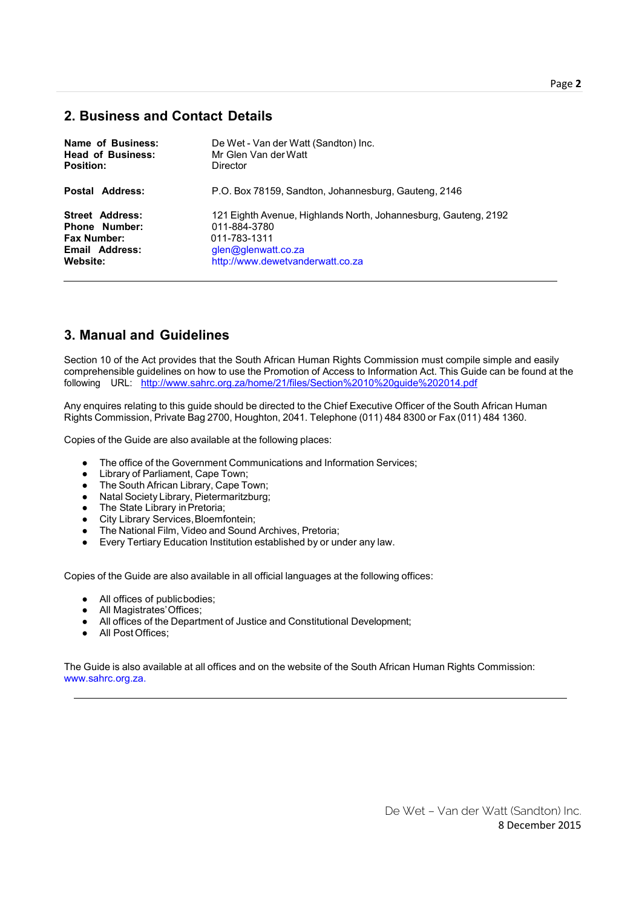## 2. Business and Contact Details

| Name of Business:        | De Wet - Van der Watt (Sandton) Inc.                            |
|--------------------------|-----------------------------------------------------------------|
| <b>Head of Business:</b> | Mr Glen Van der Watt                                            |
| <b>Position:</b>         | Director                                                        |
| Postal Address:          | P.O. Box 78159, Sandton, Johannesburg, Gauteng, 2146            |
| <b>Street Address:</b>   | 121 Eighth Avenue, Highlands North, Johannesburg, Gauteng, 2192 |
| <b>Phone Number:</b>     | 011-884-3780                                                    |
| Fax Number:              | 011-783-1311                                                    |
| Email Address:           | glen@glenwatt.co.za                                             |
| Website:                 | http://www.dewetvanderwatt.co.za                                |

# 3. Manual and Guidelines

Section 10 of the Act provides that the South African Human Rights Commission must compile simple and easily comprehensible guidelines on how to use the Promotion of Access to Information Act. This Guide can be found at the following URL: http://www.sahrc.org.za/home/21/files/Section%2010%20guide%202014.pdf

Any enquires relating to this guide should be directed to the Chief Executive Officer of the South African Human Rights Commission, Private Bag 2700, Houghton, 2041. Telephone (011) 484 8300 or Fax (011) 484 1360.

Copies of the Guide are also available at the following places:

- The office of the Government Communications and Information Services;
- Library of Parliament, Cape Town;
- The South African Library, Cape Town;
- Natal Society Library, Pietermaritzburg;
- The State Library in Pretoria;
- City Library Services,Bloemfontein;
- The National Film, Video and Sound Archives, Pretoria;
- Every Tertiary Education Institution established by or under any law.

Copies of the Guide are also available in all official languages at the following offices:

- All offices of publicbodies;
- All Magistrates'Offices;
- All offices of the Department of Justice and Constitutional Development;
- All Post Offices;

The Guide is also available at all offices and on the website of the South African Human Rights Commission: www.sahrc.org.za.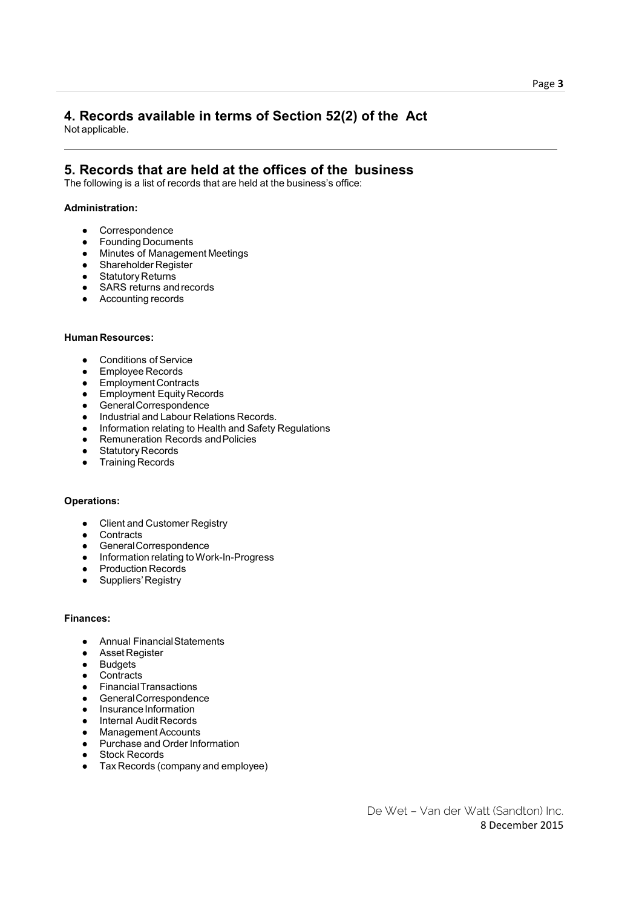#### 4. Records available in terms of Section 52(2) of the Act Not applicable.

## 5. Records that are held at the offices of the business

The following is a list of records that are held at the business's office:

#### Administration:

- Correspondence
- Founding Documents
- Minutes of Management Meetings
- Shareholder Register
- Statutory Returns
- SARS returns and records
- Accounting records

### Human Resources:

- Conditions of Service
- Employee Records
- Employment Contracts
- Employment Equity Records
- GeneralCorrespondence
- Industrial and Labour Relations Records.
- Information relating to Health and Safety Regulations
- Remuneration Records and Policies
- Statutory Records
- Training Records

#### Operations:

- Client and Customer Registry
- Contracts
- GeneralCorrespondence
- Information relating to Work-In-Progress
- Production Records
- Suppliers' Registry

#### Finances:

- Annual FinancialStatements
- Asset Register
- Budgets
- Contracts
- FinancialTransactions
- GeneralCorrespondence
- InsuranceInformation
- Internal Audit Records
- Management Accounts
- Purchase and Order Information
- Stock Records
- Tax Records (company and employee)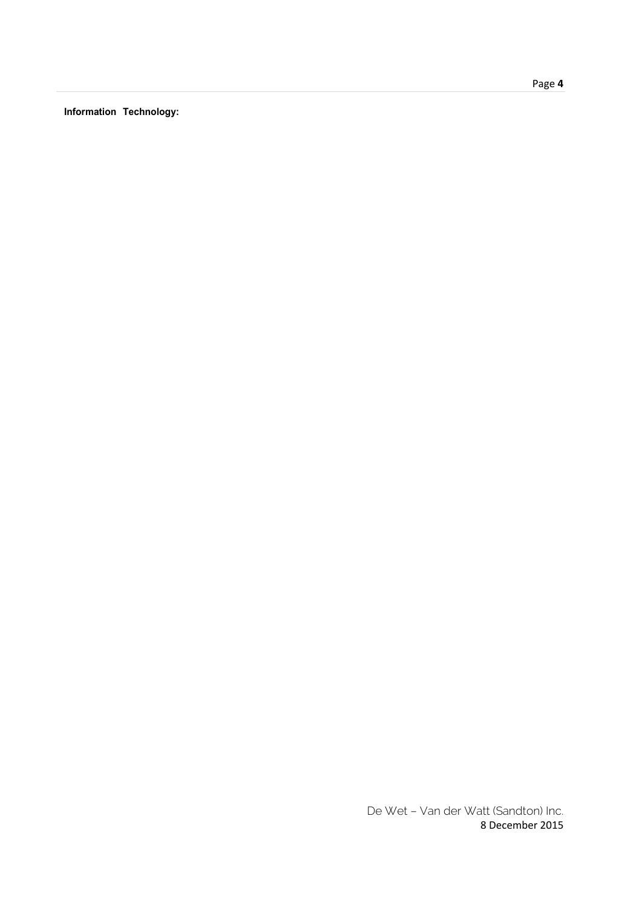Information Technology: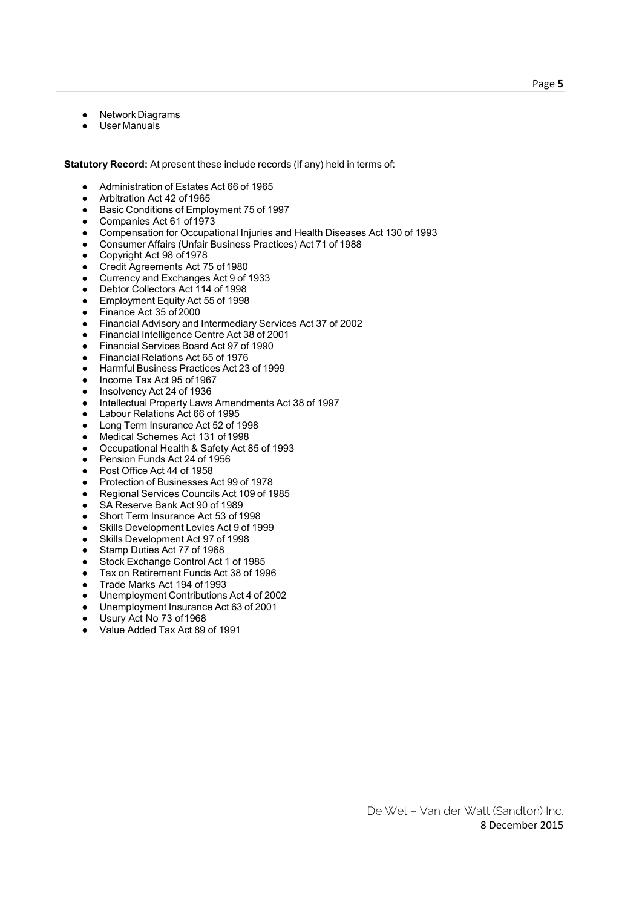- Network Diagrams
- User Manuals

Statutory Record: At present these include records (if any) held in terms of:

- Administration of Estates Act 66 of 1965
- Arbitration Act 42 of 1965
- Basic Conditions of Employment 75 of 1997
- Companies Act 61 of 1973
- Compensation for Occupational Injuries and Health Diseases Act 130 of 1993
- Consumer Affairs (Unfair Business Practices) Act 71 of 1988
- Copyright Act 98 of 1978<br>● Credit Agreements Act 7
- Credit Agreements Act 75 of 1980
- Currency and Exchanges Act 9 of 1933
- Debtor Collectors Act 114 of 1998
- Employment Equity Act 55 of 1998
- Finance Act 35 of 2000
- Financial Advisory and Intermediary Services Act 37 of 2002
- Financial Intelligence Centre Act 38 of 2001
- Financial Services Board Act 97 of 1990
- Financial Relations Act 65 of 1976
- Harmful Business Practices Act 23 of 1999
- Income Tax Act 95 of 1967
- Insolvency Act 24 of 1936
- Intellectual Property Laws Amendments Act 38 of 1997
- Labour Relations Act 66 of 1995
- Long Term Insurance Act 52 of 1998
- Medical Schemes Act 131 of1998
- Occupational Health & Safety Act 85 of 1993
- Pension Funds Act 24 of 1956
- Post Office Act 44 of 1958
- Protection of Businesses Act 99 of 1978
- Regional Services Councils Act 109 of 1985
- SA Reserve Bank Act 90 of 1989
- Short Term Insurance Act 53 of 1998
- Skills Development Levies Act 9 of 1999
- Skills Development Act 97 of 1998
- Stamp Duties Act 77 of 1968
- Stock Exchange Control Act 1 of 1985
- Tax on Retirement Funds Act 38 of 1996
- Trade Marks Act 194 of 1993
- Unemployment Contributions Act 4 of 2002
- Unemployment Insurance Act 63 of 2001
- Usury Act No 73 of 1968
- Value Added Tax Act 89 of 1991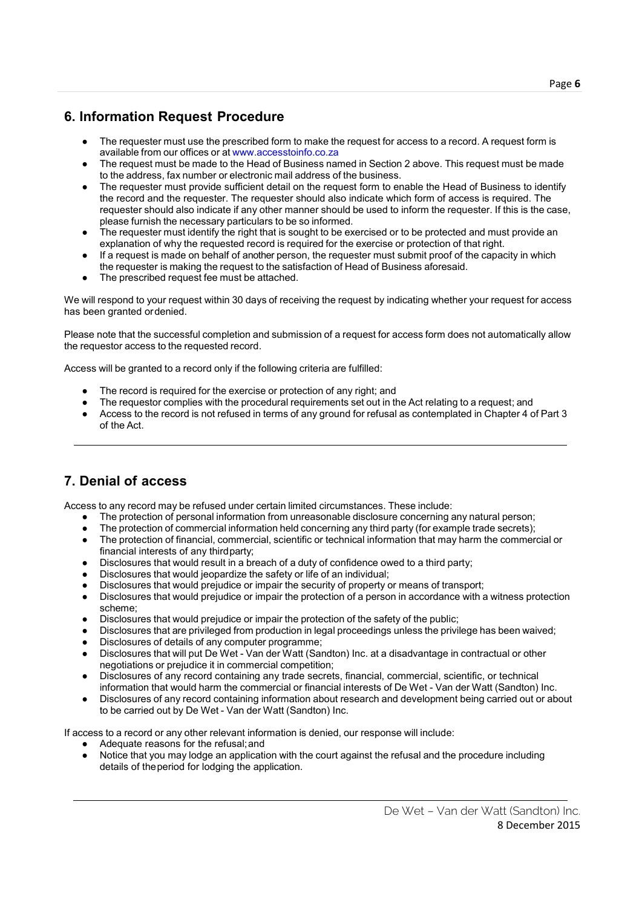# 6. Information Request Procedure

- The requester must use the prescribed form to make the request for access to a record. A request form is available from our offices or at www.accesstoinfo.co.za
- The request must be made to the Head of Business named in Section 2 above. This request must be made to the address, fax number or electronic mail address of the business.
- The requester must provide sufficient detail on the request form to enable the Head of Business to identify the record and the requester. The requester should also indicate which form of access is required. The requester should also indicate if any other manner should be used to inform the requester. If this is the case, please furnish the necessary particulars to be so informed.
- The requester must identify the right that is sought to be exercised or to be protected and must provide an explanation of why the requested record is required for the exercise or protection of that right.
- If a request is made on behalf of another person, the requester must submit proof of the capacity in which the requester is making the request to the satisfaction of Head of Business aforesaid.
- The prescribed request fee must be attached.

We will respond to your request within 30 days of receiving the request by indicating whether your request for access has been granted ordenied.

Please note that the successful completion and submission of a request for access form does not automatically allow the requestor access to the requested record.

Access will be granted to a record only if the following criteria are fulfilled:

- The record is required for the exercise or protection of any right; and
- The requestor complies with the procedural requirements set out in the Act relating to a request; and
- Access to the record is not refused in terms of any ground for refusal as contemplated in Chapter 4 of Part 3 of the Act.

# 7. Denial of access

Access to any record may be refused under certain limited circumstances. These include:

- The protection of personal information from unreasonable disclosure concerning any natural person;
- The protection of commercial information held concerning any third party (for example trade secrets);
- The protection of financial, commercial, scientific or technical information that may harm the commercial or financial interests of any thirdparty;
- Disclosures that would result in a breach of a duty of confidence owed to a third party;
- Disclosures that would jeopardize the safety or life of an individual;
- Disclosures that would prejudice or impair the security of property or means of transport;
- Disclosures that would prejudice or impair the protection of a person in accordance with a witness protection scheme;
- Disclosures that would prejudice or impair the protection of the safety of the public;
- Disclosures that are privileged from production in legal proceedings unless the privilege has been waived;
- Disclosures of details of any computer programme:
- Disclosures that will put De Wet Van der Watt (Sandton) Inc. at a disadvantage in contractual or other negotiations or prejudice it in commercial competition;
- Disclosures of any record containing any trade secrets, financial, commercial, scientific, or technical information that would harm the commercial or financial interests of De Wet - Van der Watt (Sandton) Inc.
- Disclosures of any record containing information about research and development being carried out or about to be carried out by De Wet - Van der Watt (Sandton) Inc.

If access to a record or any other relevant information is denied, our response will include:

- Adequate reasons for the refusal; and
- Notice that you may lodge an application with the court against the refusal and the procedure including details of theperiod for lodging the application.